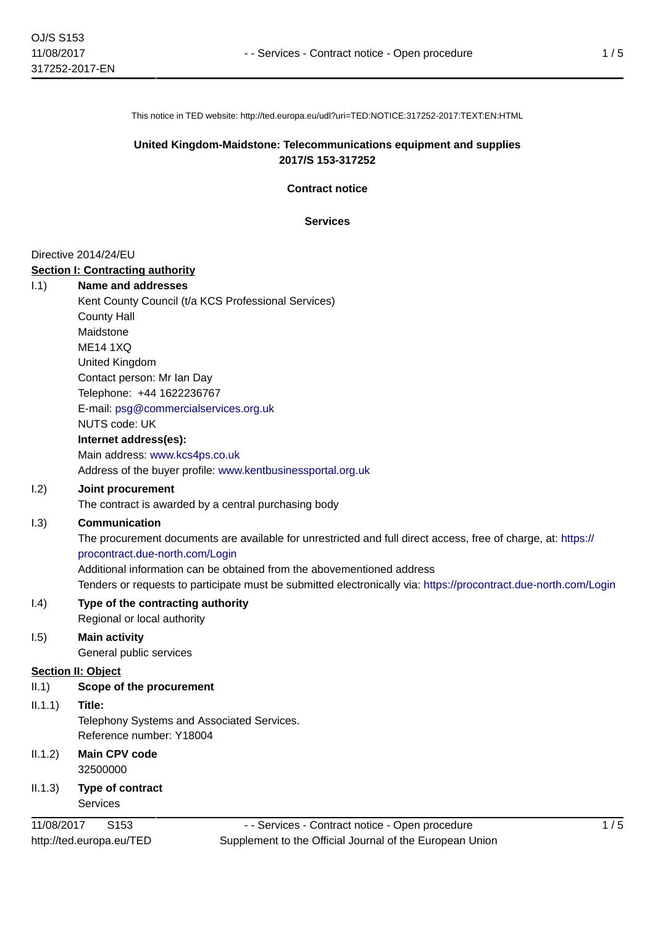This notice in TED website: http://ted.europa.eu/udl?uri=TED:NOTICE:317252-2017:TEXT:EN:HTML

# **United Kingdom-Maidstone: Telecommunications equipment and supplies 2017/S 153-317252**

**Contract notice**

**Services**

#### Directive 2014/24/EU

### **Section I: Contracting authority**

| 1.1) | <b>Name and addresses</b>                                   |
|------|-------------------------------------------------------------|
|      | Kent County Council (t/a KCS Professional Services)         |
|      | <b>County Hall</b>                                          |
|      | Maidstone                                                   |
|      | ME14 1XO                                                    |
|      | United Kingdom                                              |
|      | Contact person: Mr Ian Day                                  |
|      | Telephone: +44 1622236767                                   |
|      | E-mail: psg@commercialservices.org.uk                       |
|      | <b>NUTS code: UK</b>                                        |
|      | Internet address(es):                                       |
|      | Main address: www.kcs4ps.co.uk                              |
|      | Address of the buyer profile: www.kentbusinessportal.org.uk |

### I.2) **Joint procurement**

The contract is awarded by a central purchasing body

### I.3) **Communication**

The procurement documents are available for unrestricted and full direct access, free of charge, at: [https://](https://procontract.due-north.com/Login) [procontract.due-north.com/Login](https://procontract.due-north.com/Login)

Additional information can be obtained from the abovementioned address

Tenders or requests to participate must be submitted electronically via:<https://procontract.due-north.com/Login>

### I.4) **Type of the contracting authority** Regional or local authority

# I.5) **Main activity**

General public services

### **Section II: Object**

II.1) **Scope of the procurement**

# II.1.1) **Title:**

Telephony Systems and Associated Services. Reference number: Y18004

- II.1.2) **Main CPV code** 32500000
- II.1.3) **Type of contract Services**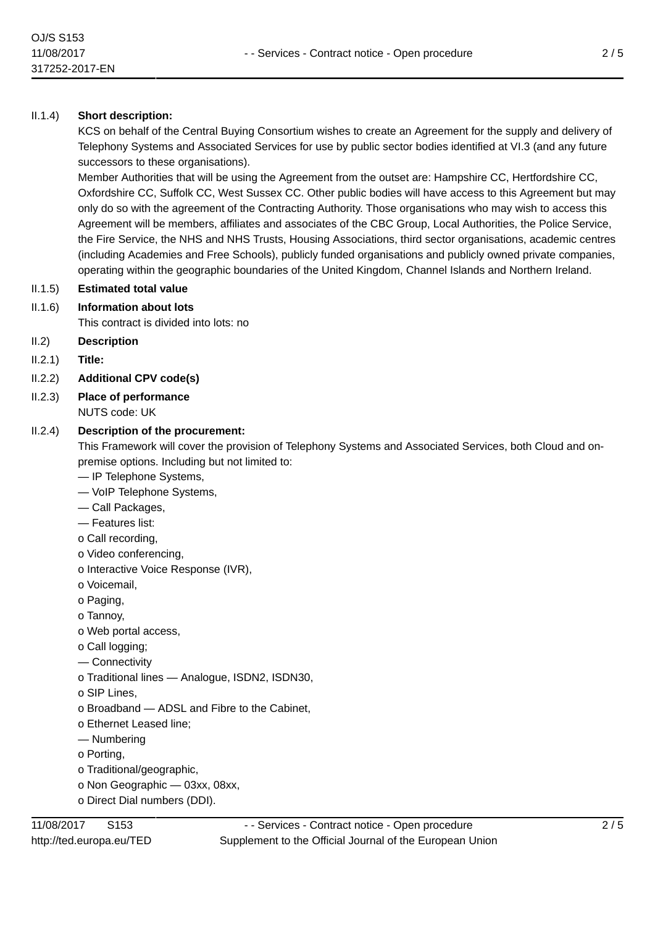# II.1.4) **Short description:**

KCS on behalf of the Central Buying Consortium wishes to create an Agreement for the supply and delivery of Telephony Systems and Associated Services for use by public sector bodies identified at VI.3 (and any future successors to these organisations).

Member Authorities that will be using the Agreement from the outset are: Hampshire CC, Hertfordshire CC, Oxfordshire CC, Suffolk CC, West Sussex CC. Other public bodies will have access to this Agreement but may only do so with the agreement of the Contracting Authority. Those organisations who may wish to access this Agreement will be members, affiliates and associates of the CBC Group, Local Authorities, the Police Service, the Fire Service, the NHS and NHS Trusts, Housing Associations, third sector organisations, academic centres (including Academies and Free Schools), publicly funded organisations and publicly owned private companies, operating within the geographic boundaries of the United Kingdom, Channel Islands and Northern Ireland.

### II.1.5) **Estimated total value**

II.1.6) **Information about lots**

This contract is divided into lots: no

- II.2) **Description**
- II.2.1) **Title:**
- II.2.2) **Additional CPV code(s)**
- II.2.3) **Place of performance** NUTS code: UK

# II.2.4) **Description of the procurement:**

This Framework will cover the provision of Telephony Systems and Associated Services, both Cloud and onpremise options. Including but not limited to:

- IP Telephone Systems,
- VoIP Telephone Systems,
- Call Packages,
- Features list:
- o Call recording,
- o Video conferencing,
- o Interactive Voice Response (IVR),
- o Voicemail,
- o Paging,
- o Tannoy,
- o Web portal access,
- o Call logging;
- Connectivity
- o Traditional lines Analogue, ISDN2, ISDN30,
- o SIP Lines,
- o Broadband ADSL and Fibre to the Cabinet,
- o Ethernet Leased line;
- Numbering
- o Porting,
- o Traditional/geographic,
- o Non Geographic 03xx, 08xx,
- o Direct Dial numbers (DDI).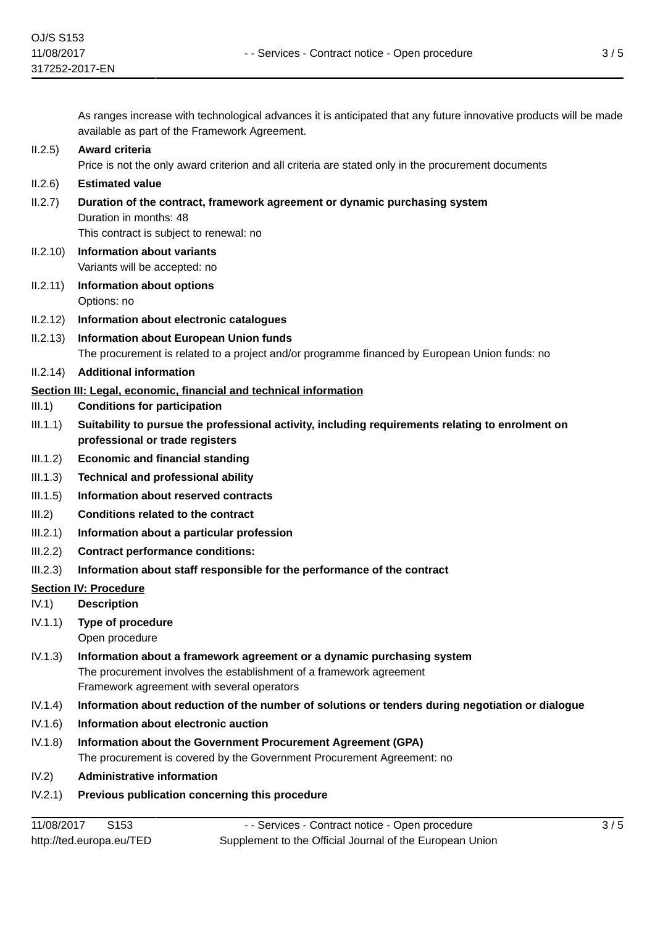As ranges increase with technological advances it is anticipated that any future innovative products will be made available as part of the Framework Agreement.

# II.2.5) **Award criteria**

Price is not the only award criterion and all criteria are stated only in the procurement documents

# II.2.6) **Estimated value**

# II.2.7) **Duration of the contract, framework agreement or dynamic purchasing system** Duration in months: 48 This contract is subject to renewal: no

- II.2.10) **Information about variants** Variants will be accepted: no
- II.2.11) **Information about options** Options: no
- II.2.12) **Information about electronic catalogues**
- II.2.13) **Information about European Union funds** The procurement is related to a project and/or programme financed by European Union funds: no
- II.2.14) **Additional information**

# **Section III: Legal, economic, financial and technical information**

- III.1) **Conditions for participation**
- III.1.1) **Suitability to pursue the professional activity, including requirements relating to enrolment on professional or trade registers**
- III.1.2) **Economic and financial standing**
- III.1.3) **Technical and professional ability**
- III.1.5) **Information about reserved contracts**
- III.2) **Conditions related to the contract**
- III.2.1) **Information about a particular profession**
- III.2.2) **Contract performance conditions:**
- III.2.3) **Information about staff responsible for the performance of the contract**

### **Section IV: Procedure**

IV.1) **Description**

# IV.1.1) **Type of procedure**

- Open procedure
- IV.1.3) **Information about a framework agreement or a dynamic purchasing system** The procurement involves the establishment of a framework agreement Framework agreement with several operators
- IV.1.4) **Information about reduction of the number of solutions or tenders during negotiation or dialogue**
- IV.1.6) **Information about electronic auction**
- IV.1.8) **Information about the Government Procurement Agreement (GPA)** The procurement is covered by the Government Procurement Agreement: no
- IV.2) **Administrative information**
- IV.2.1) **Previous publication concerning this procedure**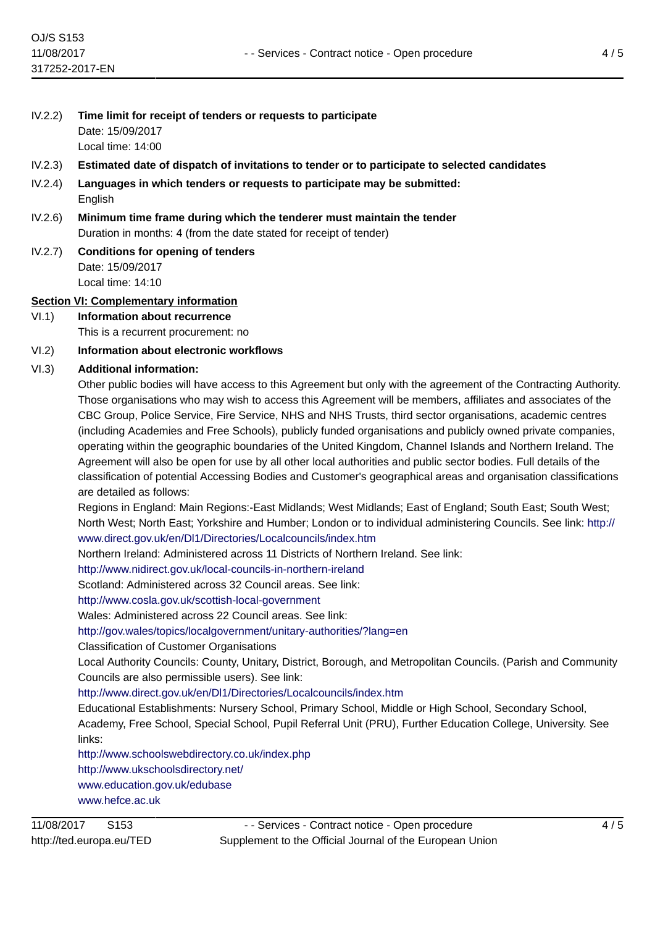- IV.2.2) **Time limit for receipt of tenders or requests to participate** Date: 15/09/2017 Local time: 14:00
- IV.2.3) **Estimated date of dispatch of invitations to tender or to participate to selected candidates**
- IV.2.4) **Languages in which tenders or requests to participate may be submitted:** English
- IV.2.6) **Minimum time frame during which the tenderer must maintain the tender** Duration in months: 4 (from the date stated for receipt of tender)
- IV.2.7) **Conditions for opening of tenders** Date: 15/09/2017 Local time: 14:10

### **Section VI: Complementary information**

VI.1) **Information about recurrence**

This is a recurrent procurement: no

# VI.2) **Information about electronic workflows**

# VI.3) **Additional information:**

Other public bodies will have access to this Agreement but only with the agreement of the Contracting Authority. Those organisations who may wish to access this Agreement will be members, affiliates and associates of the CBC Group, Police Service, Fire Service, NHS and NHS Trusts, third sector organisations, academic centres (including Academies and Free Schools), publicly funded organisations and publicly owned private companies, operating within the geographic boundaries of the United Kingdom, Channel Islands and Northern Ireland. The Agreement will also be open for use by all other local authorities and public sector bodies. Full details of the classification of potential Accessing Bodies and Customer's geographical areas and organisation classifications are detailed as follows:

Regions in England: Main Regions:-East Midlands; West Midlands; East of England; South East; South West; North West; North East; Yorkshire and Humber; London or to individual administering Councils. See link: [http://](http://www.direct.gov.uk/en/Dl1/Directories/Localcouncils/index.htm) [www.direct.gov.uk/en/Dl1/Directories/Localcouncils/index.htm](http://www.direct.gov.uk/en/Dl1/Directories/Localcouncils/index.htm)

Northern Ireland: Administered across 11 Districts of Northern Ireland. See link:

<http://www.nidirect.gov.uk/local-councils-in-northern-ireland>

Scotland: Administered across 32 Council areas. See link:

<http://www.cosla.gov.uk/scottish-local-government>

Wales: Administered across 22 Council areas. See link:

<http://gov.wales/topics/localgovernment/unitary-authorities/?lang=en>

Classification of Customer Organisations

Local Authority Councils: County, Unitary, District, Borough, and Metropolitan Councils. (Parish and Community Councils are also permissible users). See link:

<http://www.direct.gov.uk/en/Dl1/Directories/Localcouncils/index.htm>

Educational Establishments: Nursery School, Primary School, Middle or High School, Secondary School, Academy, Free School, Special School, Pupil Referral Unit (PRU), Further Education College, University. See links:

<http://www.schoolswebdirectory.co.uk/index.php> <http://www.ukschoolsdirectory.net/> <www.education.gov.uk/edubase> <www.hefce.ac.uk>